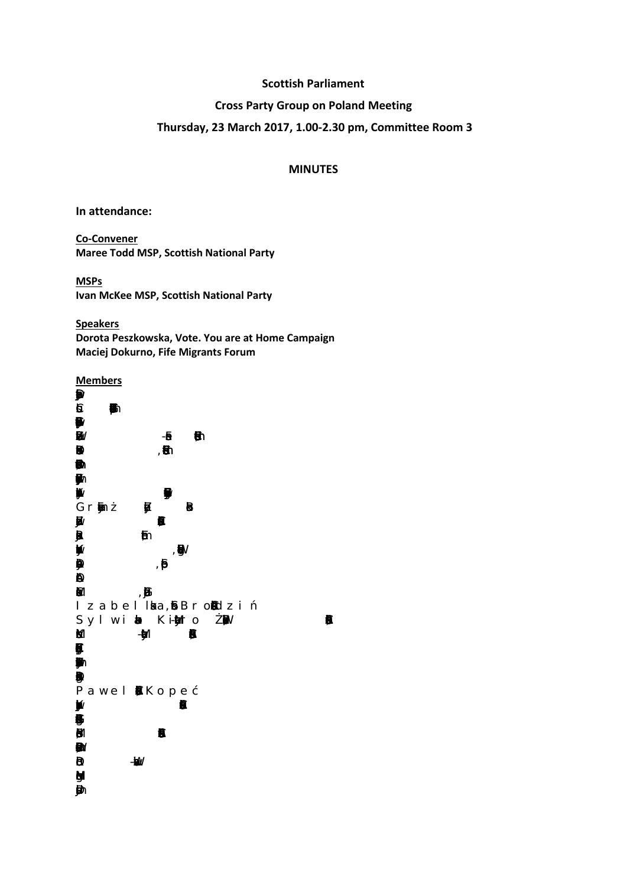## **Scottish Parliament**

# **Cross Party Group on Poland Meeting**

# **Thursday, 23 March 2017, 1.00-2.30 pm, Committee Room 3**

## **MINUTES**

**In attendance:**

**Co-Convener Maree Todd MSP, Scottish National Party**

**MSPs Ivan McKee MSP, Scottish National Party**

**Speakers Dorota Peszkowska, Vote. You are at Home Campaign Maciej Dokurno, Fife Migrants Forum**

**Members**  $\bigcirc$  $6 - 6$ **B**<br>Bo Zofia Werzbowic -Frase , PolishEducation Cme Dr BeatKohlbek , Polish Education Cme **Dr**  $\blacksquare$  $\mathbf{B}'$ Gr**a**zna **Balonika** Balonika  $\mathbf{B}$  ,  $\mathbf{B}$  $\blacksquare$  $\mathbf{W}$  $\ddot{\mathbf{\Theta}}$  $\mathbf \Theta$  $\blacksquare$ Izabel I ka, SiBrondzi Sylwi**a** Ki-Marto Maximum Pl  $M$  -Muln $N$ ₿  $\mathcal{L}$  $\blacksquare$  $\blacksquare$ Pawel **B**Rope Katrzyn Jackows, Polish CutralFesiv Aocatin  $\ddot{\mathbf{B}}$  $\mathbf{B}$  $\blacksquare$  $\overline{R}$ Hugh Mcaon l<br> I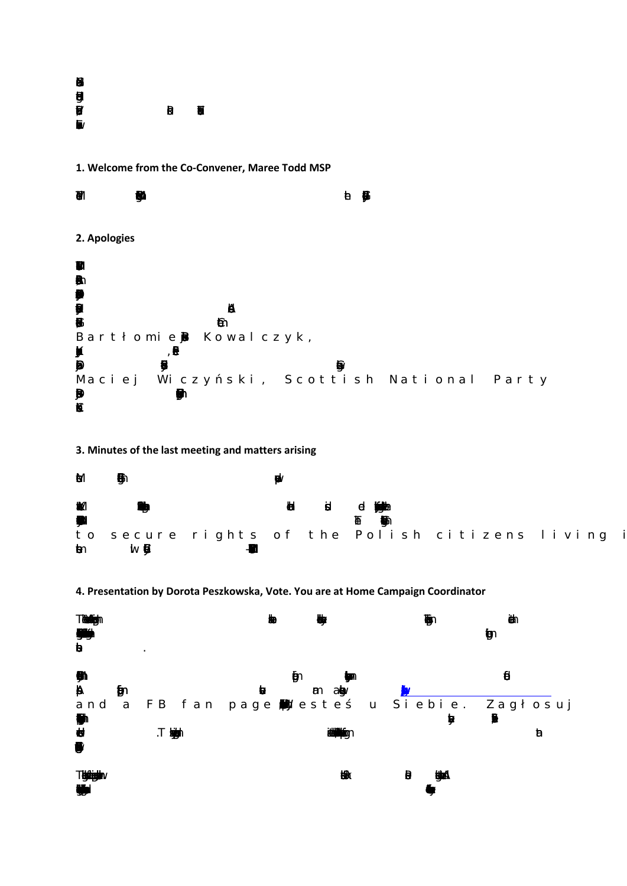| a  |   |   |
|----|---|---|
|    |   |   |
| 目形 | B | Đ |
| b/ |   |   |

**1. Welcome from the Co-Convener, Maree Todd MSP**



# **3. Minutes of the last meeting and matters arising**



#### **4. Presentation by Dorota Peszkowska, Vote. You are at Home Campaign Coordinator**

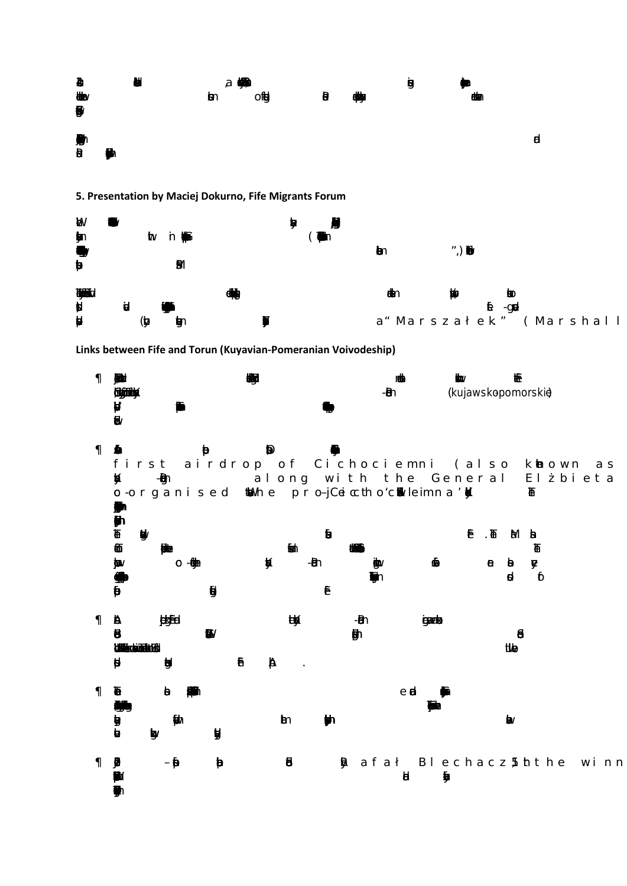

**5. Presentation by Maciej Dokurno, Fife Migrants Forum**



**Links between Fife and Torun (Kuyavian-Pomeranian Voivodeship)**

|                                                               | <b>(KÖN)</b><br>Cikandelina                                       |                                 |              | ₩ |                  |          |                                               | -ମି |              | (kujawskopomorskiè              |                                |                            |                                                                                |
|---------------------------------------------------------------|-------------------------------------------------------------------|---------------------------------|--------------|---|------------------|----------|-----------------------------------------------|-----|--------------|---------------------------------|--------------------------------|----------------------------|--------------------------------------------------------------------------------|
| $\left\langle \right\rangle$ and $\left\langle \right\rangle$ | ĶÍ                                                                | $-\blacksquare$                 | $\mathbf{b}$ |   |                  |          | o-organised to he pro-jCeicctho'conviermental |     |              |                                 |                                | ₩                          | first airdrop of Cichociemni (also khown as<br>along with the General El bieta |
|                                                               | $\pmb{\mathbb{P}}$<br>$\mathbf{W}$<br>$\mathbf{D}$<br>jav<br>d    | <b>ATTACK</b><br>O - 660a       | $\mathbf{g}$ | Ķ | ħm∖              | -ଇ∩<br>Ē | tΦΜ                                           |     | ⊕            | $\overline{E}$ . $\overline{E}$ | $\theta$ $\theta$<br>q         | Ma ba<br>V<br>$\mathbf{b}$ |                                                                                |
| $\mathbf{A} \rightarrow$                                      | $\mathbf{B}$<br><b><i>Lähtis vandala 16</i></b><br>ø              | jeksfed<br>ĝ.                   | $\mathbf{B}$ | Đ | U<br>A<br>$\sim$ |          | -ମେ<br>勛                                      |     | <b>gaala</b> |                                 | $\boldsymbol{\theta}$<br>itive |                            |                                                                                |
|                                                               | $\mathbf{p}$<br>リンクストランス しょうしょう しょうしょう しょうしょう しょうしょう しょうしょう しょうしゃ | $\theta$<br>$\mathbf{F}$<br>tg∨ |              |   | $\mathbf{m}$     |          |                                               | e d |              |                                 | $\mathbf{b}$                   |                            |                                                                                |
|                                                               |                                                                   | $-\beta$                        | Đ            |   | 8                |          |                                               | đ   |              |                                 |                                |                            | <b>B</b> afał Blechacz 5 th the winn                                           |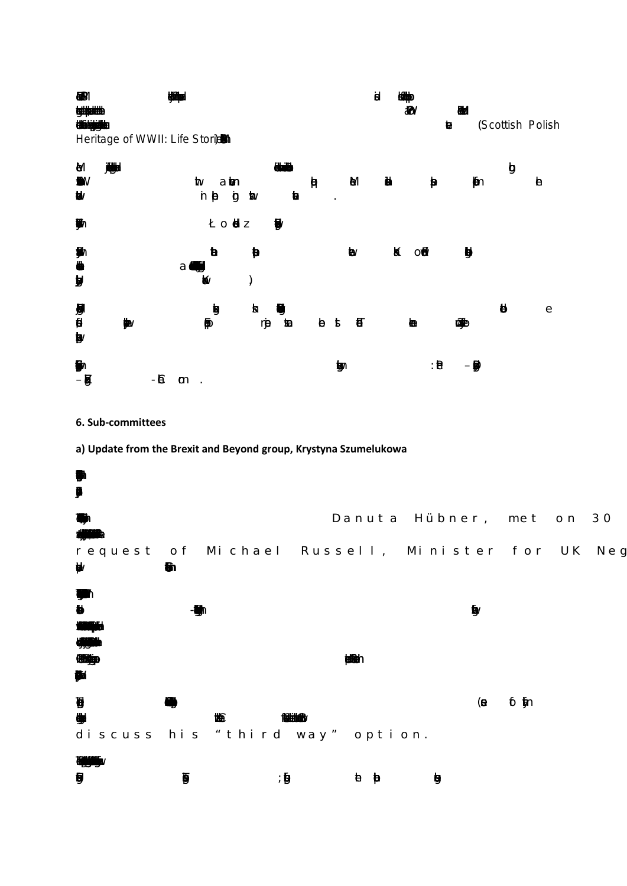

6. Sub-committees

a) Update from the Brexit and Beyond group, Krystyna Szumelukowa

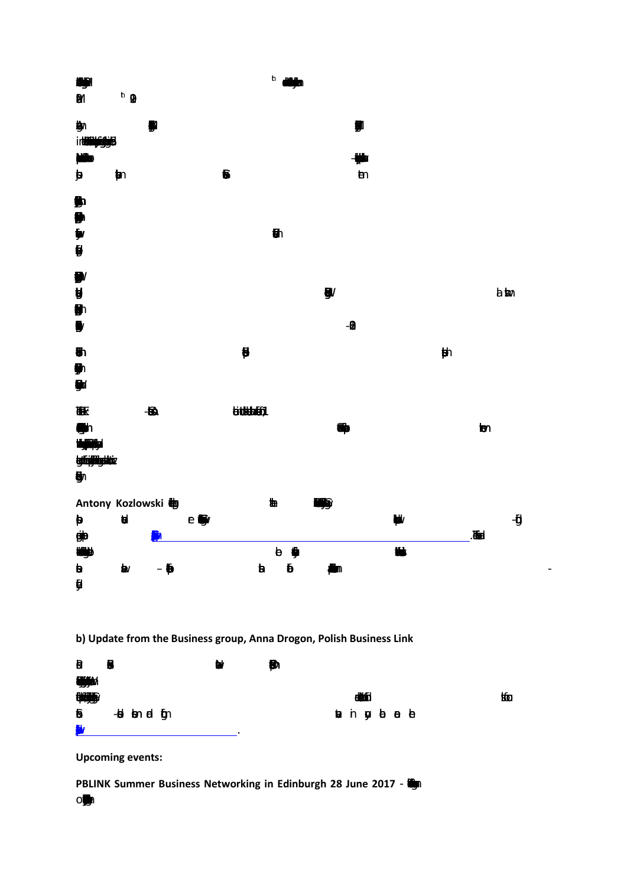

| B         | B |                |  | Ы | Đ |                    |  |  |   |
|-----------|---|----------------|--|---|---|--------------------|--|--|---|
| <b>WA</b> |   |                |  |   |   |                    |  |  |   |
| 脚身        |   |                |  |   |   | <b>CRASE</b>       |  |  | 恤 |
| ₿         |   | -bi bon el iĝn |  |   |   | <b>ta</b> in gabab |  |  |   |
| <b>M</b>  |   |                |  |   |   |                    |  |  |   |

**Upcoming events:** 

PBLINK Summer Business Networking in Edinburgh 28 June 2017 - (1)

 $O_{\bullet}$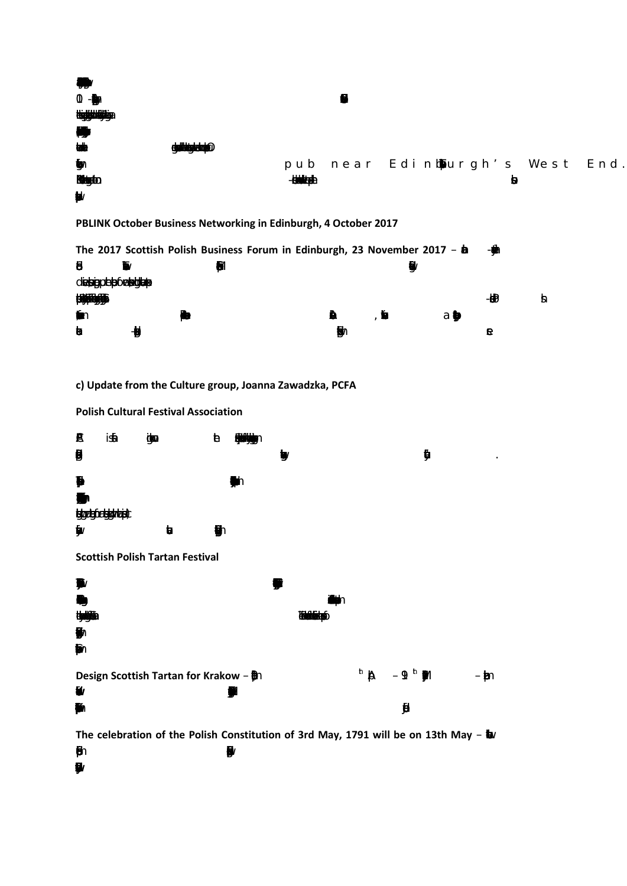| $\mathbb{O}$ -gy      |                |                 |                                 |   |  |
|-----------------------|----------------|-----------------|---------------------------------|---|--|
| <b>MALINE LITTLE</b>  |                |                 |                                 |   |  |
| Ð                     |                |                 |                                 |   |  |
| <b>tale</b>           | ailkiniskeimie |                 |                                 |   |  |
| $\mathbf{y}$          |                |                 | pub near Edinbourgh's West End. |   |  |
| <b>Rugto</b>          |                | <b>EUMANDED</b> |                                 | H |  |
| $\blacktriangleright$ |                |                 |                                 |   |  |

PBLINK October Business Networking in Edinburgh, 4 October 2017

|                        |          | The 2017 Scottish Polish Business Forum in Edinburgh, 23 November 2017 - $\hbar$ |   |   |   |    | - 890 |  |
|------------------------|----------|----------------------------------------------------------------------------------|---|---|---|----|-------|--|
| ₿                      | <b>I</b> |                                                                                  |   |   | Ŗ |    |       |  |
| d <b>espphie6alage</b> |          |                                                                                  |   |   |   |    |       |  |
| <b>UHUGB</b>           |          |                                                                                  |   |   |   |    | - † Đ |  |
| Ť∩                     |          |                                                                                  | ñ | 医 |   | а∎ |       |  |
| $\mathbf{b}$           | Ð        |                                                                                  | 駒 |   |   |    |       |  |

c) Update from the Culture group, Joanna Zawadzka, PCFA



**Polish Cultural Festival Association** 

 $\mathbf{p}$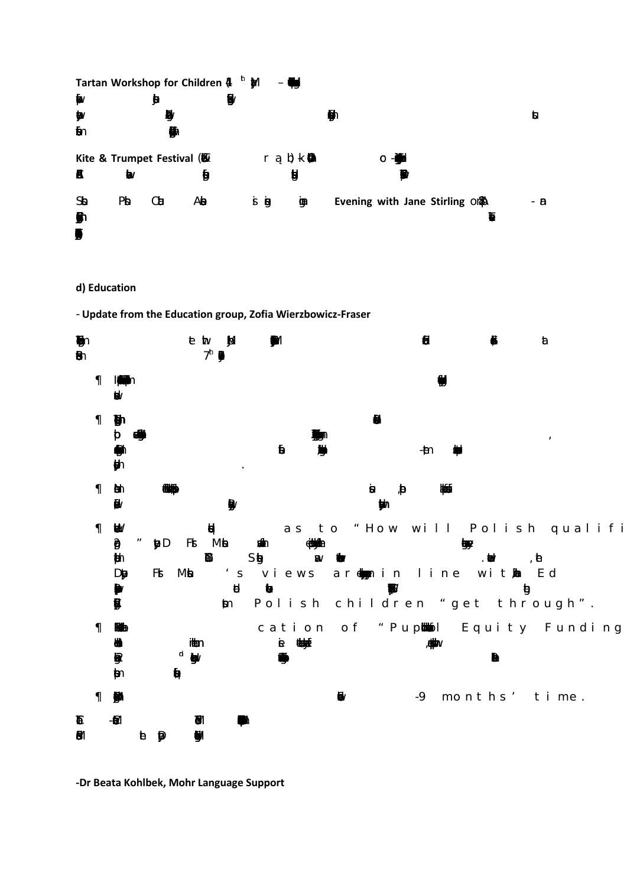

#### **d) Education**

- **Update from the Education group, Zofia Wierzbowicz-Fraser**



**-Dr Beata Kohlbek, Mohr Language Support**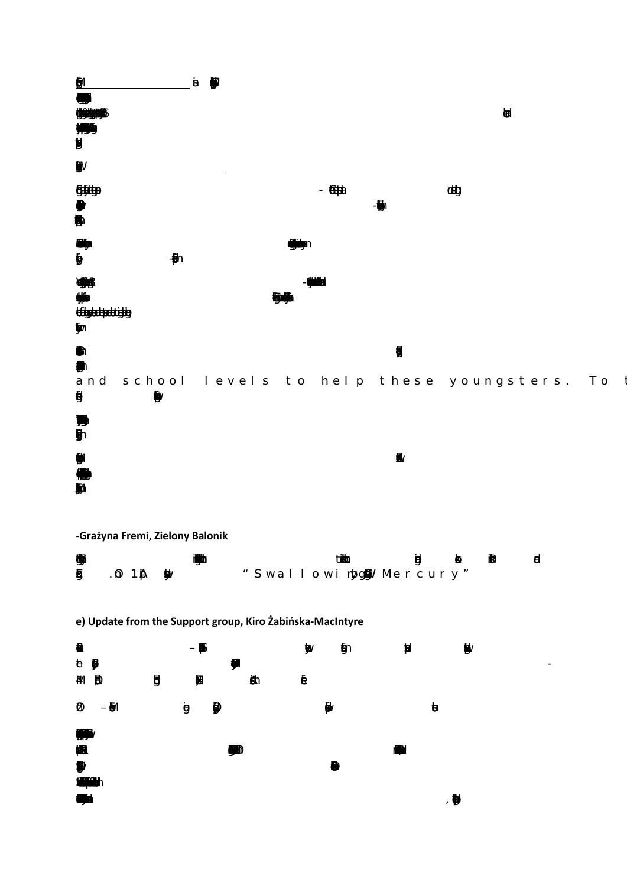| $\hat{\mathbf{y}}$<br>IJ<br>( )<br>15<br>Ü | $\mathbf{8}$<br>M | <b>ta</b>                                      |
|--------------------------------------------|-------------------|------------------------------------------------|
| $\mathbf{W}$<br><b>Giftiga</b><br>9<br>9   | $-600$            | doby<br>₩                                      |
| <b>ENDY</b><br>ŷ<br>$\blacksquare$         |                   |                                                |
| U<br>₩<br><b>üügsetpelaigib</b><br>ÿv      | 懈                 |                                                |
| ħ<br>$\mathbf{y}$                          |                   | $\mathbf{B}$                                   |
| $\boldsymbol{\theta}$<br>₿                 |                   | and school levels to help these youngsters. To |
| D<br>ģ,                                    |                   |                                                |
| M                                          |                   | $\bullet$                                      |

-Grażyna Fremi, Zielony Balonik

| ₩ | 撇                           | tisto                    | el o na el |  |
|---|-----------------------------|--------------------------|------------|--|
|   | <b>5</b> . 0 1 <b>A</b> \$W | " Swallowinbg@W Mercury" |            |  |

e) Update from the Support group, Kiro Żabińska-MacIntyre

| $\blacksquare$<br><b>b Ø</b><br><b>AVI D</b>   | $ \beta$<br>网<br>$\mathbf{g}$ | ₩<br>₩<br>Äh<br>₿ | $\hat{\pmb{\mathfrak{g}}}$ | ø | $\mathbf{b}^{\prime}$<br>$\overline{\phantom{a}}$ |
|------------------------------------------------|-------------------------------|-------------------|----------------------------|---|---------------------------------------------------|
| $ \delta$<br>Ø                                 | ġ<br>₿                        |                   | $\bullet$                  | b |                                                   |
| 9T<br>概<br>$\mathbf{y}$                        |                               | ₩                 |                            |   |                                                   |
| <b>REAL</b><br><b>COLLEGE</b><br>$\mathcal{F}$ |                               |                   |                            | ₩ |                                                   |